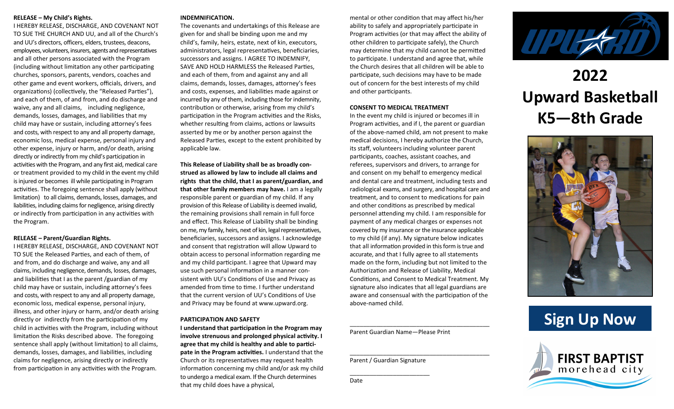### **RELEASE – My Child's Rights.**

I HEREBY RELEASE, DISCHARGE, AND COVENANT NOT TO SUE THE CHURCH AND UU, and all of the Church's and UU's directors, officers, elders, trustees, deacons, employees, volunteers, insurers, agents and representatives and all other persons associated with the Program (including without limitation any other participating churches, sponsors, parents, vendors, coaches and other game and event workers, officials, drivers, and organizations) (collectively, the "Released Parties"), and each of them, of and from, and do discharge and waive, any and all claims, including negligence, demands, losses, damages, and liabilities that my child may have or sustain, including attorney's fees and costs, with respect to any and all property damage, economic loss, medical expense, personal injury and other expense, injury or harm, and/or death, arising directly or indirectly from my child's participation in activities with the Program, and any first aid, medical care or treatment provided to my child in the event my child is injured or becomes ill while participating in Program activities. The foregoing sentence shall apply (without limitation) to all claims, demands, losses, damages, and liabilities, including claims for negligence, arising directly or indirectly from participation in any activities with the Program.

## **RELEASE – Parent/Guardian Rights.**

I HEREBY RELEASE, DISCHARGE, AND COVENANT NOT TO SUE the Released Parties, and each of them, of and from, and do discharge and waive, any and all claims, including negligence, demands, losses, damages, and liabilities that I as the parent /guardian of my child may have or sustain, including attorney's fees and costs, with respect to any and all property damage, economic loss, medical expense, personal injury, illness, and other injury or harm, and/or death arising directly or indirectly from the participation of my child in activities with the Program, including without limitation the Risks described above. The foregoing sentence shall apply (without limitation) to all claims, demands, losses, damages, and liabilities, including claims for negligence, arising directly or indirectly from participation in any activities with the Program.

## **INDEMNIFICATION.**

The covenants and undertakings of this Release are given for and shall be binding upon me and my child's, family, heirs, estate, next of kin, executors, administrators, legal representatives, beneficiaries, successors and assigns. I AGREE TO INDEMNIFY, SAVE AND HOLD HARMLESS the Released Parties, and each of them, from and against any and all claims, demands, losses, damages, attorney's fees and costs, expenses, and liabilities made against or incurred by any of them, including those for indemnity, contribution or otherwise, arising from my child's participation in the Program activities and the Risks, whether resulting from claims, actions or lawsuits asserted by me or by another person against the Released Parties, except to the extent prohibited by applicable law.

**This Release of Liability shall be as broadly construed as allowed by law to include all claims and rights that the child, that I as parent/guardian, and that other family members may have.** I am a legally responsible parent or guardian of my child. If any provision of this Release of Liability is deemed invalid, the remaining provisions shall remain in full force and effect. This Release of Liability shall be binding on me, my family, heirs, next of kin, legal representatives, beneficiaries, successors and assigns. I acknowledge and consent that registration will allow Upward to obtain access to personal information regarding me and my child participant. I agree that Upward may use such personal information in a manner consistent with UU's Conditions of Use and Privacy as amended from time to time. I further understand that the current version of UU's Conditions of Use and Privacy may be found at www.upward.org.

# **PARTICIPATION AND SAFETY**

**I understand that participation in the Program may involve strenuous and prolonged physical activity. I agree that my child is healthy and able to participate in the Program activities.** I understand that the Church or its representatives may request health information concerning my child and/or ask my child to undergo a medical exam. If the Church determines that my child does have a physical,

mental or other condition that may affect his/her ability to safely and appropriately participate in Program activities (or that may affect the ability of other children to participate safely), the Church may determine that my child cannot be permitted to participate. I understand and agree that, while the Church desires that all children will be able to participate, such decisions may have to be made out of concern for the best interests of my child and other participants.

# **CONSENT TO MEDICAL TREATMENT**

In the event my child is injured or becomes ill in Program activities, and if I, the parent or guardian of the above-named child, am not present to make medical decisions, I hereby authorize the Church, its staff, volunteers including volunteer parent participants, coaches, assistant coaches, and referees, supervisors and drivers, to arrange for and consent on my behalf to emergency medical and dental care and treatment, including tests and radiological exams, and surgery, and hospital care and treatment, and to consent to medications for pain and other conditions as prescribed by medical personnel attending my child. I am responsible for payment of any medical charges or expenses not covered by my insurance or the insurance applicable to my child (if any). My signature below indicates that all information provided in this form is true and accurate, and that I fully agree to all statements made on the form, including but not limited to the Authorization and Release of Liability, Medical Conditions, and Consent to Medical Treatment. My signature also indicates that all legal guardians are aware and consensual with the participation of the above-named child.

Parent Guardian Name—Please Print

\_\_\_\_\_\_\_\_\_\_\_\_\_\_\_\_\_\_\_\_\_\_\_\_\_\_\_\_\_\_\_\_\_\_\_\_\_\_\_\_\_\_

\_\_\_\_\_\_\_\_\_\_\_\_\_\_\_\_\_\_\_\_\_\_\_\_\_\_\_\_\_\_\_\_\_\_\_\_\_\_\_\_\_\_

Parent / Guardian Signature \_\_\_\_\_\_\_\_\_\_\_\_\_\_\_\_\_\_\_\_\_\_\_\_

Date



# **2022 Upward Basketball K5—8th Grade**



# **Sign Up Now**